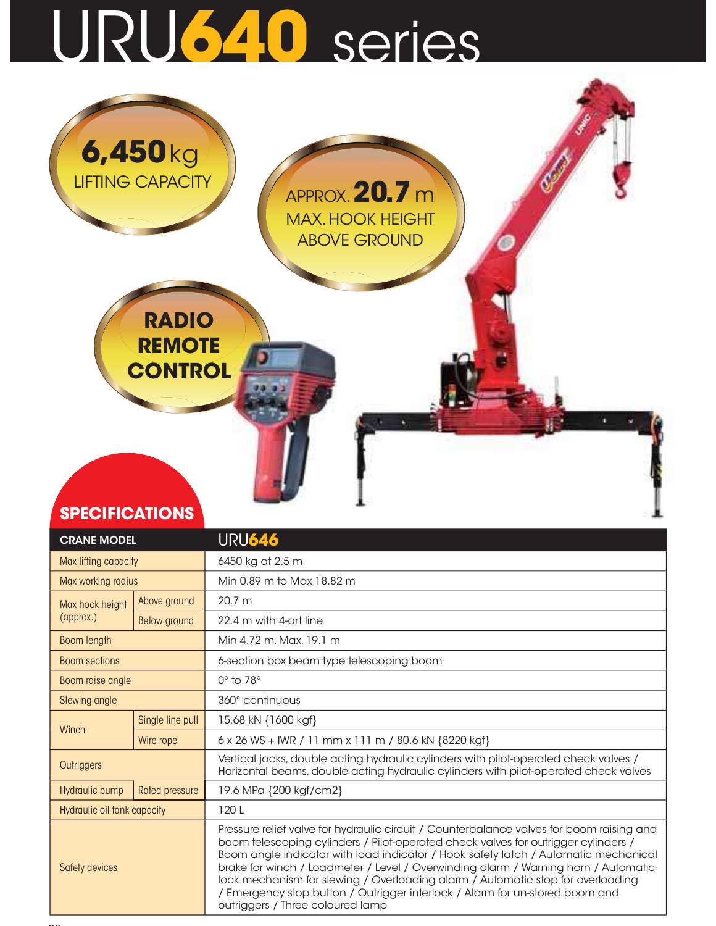## URU640 series



| <b>CRANE MODEL</b>                     |                                                 | URU646                                                                                                                                                                                                                                                                                                                                                                                                                                                                                                                                                             |  |  |  |  |  |  |
|----------------------------------------|-------------------------------------------------|--------------------------------------------------------------------------------------------------------------------------------------------------------------------------------------------------------------------------------------------------------------------------------------------------------------------------------------------------------------------------------------------------------------------------------------------------------------------------------------------------------------------------------------------------------------------|--|--|--|--|--|--|
| Max lifting capacity                   |                                                 | 6450 kg at 2.5 m                                                                                                                                                                                                                                                                                                                                                                                                                                                                                                                                                   |  |  |  |  |  |  |
| Max working radius                     |                                                 | Min 0.89 m to Max 18.82 m                                                                                                                                                                                                                                                                                                                                                                                                                                                                                                                                          |  |  |  |  |  |  |
| Max hook height                        | Above ground                                    | 20.7 m                                                                                                                                                                                                                                                                                                                                                                                                                                                                                                                                                             |  |  |  |  |  |  |
| (approx.)                              | Below ground                                    | 22.4 m with 4-art line                                                                                                                                                                                                                                                                                                                                                                                                                                                                                                                                             |  |  |  |  |  |  |
| Boom length                            |                                                 | Min 4.72 m, Max, 19.1 m                                                                                                                                                                                                                                                                                                                                                                                                                                                                                                                                            |  |  |  |  |  |  |
| <b>Boom sections</b>                   |                                                 | 6-section box beam type telescoping boom                                                                                                                                                                                                                                                                                                                                                                                                                                                                                                                           |  |  |  |  |  |  |
| Boom raise angle                       |                                                 | $0^\circ$ to $78^\circ$                                                                                                                                                                                                                                                                                                                                                                                                                                                                                                                                            |  |  |  |  |  |  |
| Slewing angle                          |                                                 | 360° continuous                                                                                                                                                                                                                                                                                                                                                                                                                                                                                                                                                    |  |  |  |  |  |  |
| Single line pull<br>Winch<br>Wire rope |                                                 | 15.68 kN {1600 kgf}                                                                                                                                                                                                                                                                                                                                                                                                                                                                                                                                                |  |  |  |  |  |  |
|                                        |                                                 | 6 x 26 WS + IWR / 11 mm x 111 m / 80.6 kN {8220 kgf}                                                                                                                                                                                                                                                                                                                                                                                                                                                                                                               |  |  |  |  |  |  |
| <b>Outriggers</b>                      |                                                 | Vertical jacks, double acting hydraulic cylinders with pilot-operated check valves /<br>Horizontal beams, double acting hydraulic cylinders with pilot-operated check valves                                                                                                                                                                                                                                                                                                                                                                                       |  |  |  |  |  |  |
| Hydraulic pump                         | 19.6 MPa {200 kgf/cm2}<br><b>Rated pressure</b> |                                                                                                                                                                                                                                                                                                                                                                                                                                                                                                                                                                    |  |  |  |  |  |  |
| Hydraulic oil tank capacity            |                                                 | 120L                                                                                                                                                                                                                                                                                                                                                                                                                                                                                                                                                               |  |  |  |  |  |  |
| Safety devices                         |                                                 | Pressure relief valve for hydraulic circuit / Counterbalance valves for boom raising and<br>boom telescoping cylinders / Pilot-operated check valves for outrigger cylinders /<br>Boom angle indicator with load indicator / Hook safety latch / Automatic mechanical<br>brake for winch / Loadmeter / Level / Overwinding alarm / Warning horn / Automatic<br>lock mechanism for slewing / Overloading alarm / Automatic stop for overloading<br>/ Emergency stop button / Outrigger interlock / Alarm for un-stored boom and<br>outriggers / Three coloured lamp |  |  |  |  |  |  |